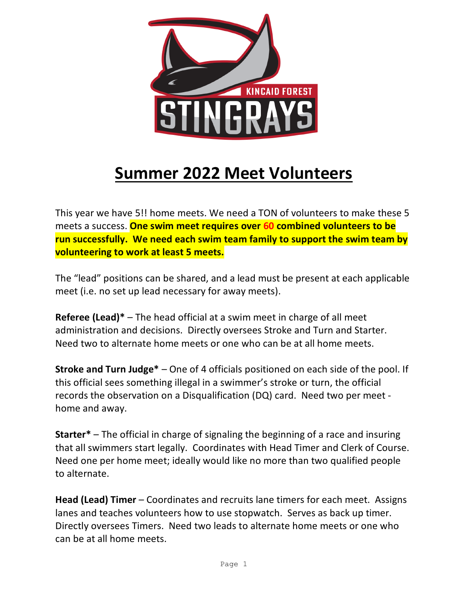

## **Summer 2022 Meet Volunteers**

This year we have 5!! home meets. We need a TON of volunteers to make these 5 meets a success. **One swim meet requires over 60 combined volunteers to be run successfully. We need each swim team family to support the swim team by volunteering to work at least 5 meets.**

The "lead" positions can be shared, and a lead must be present at each applicable meet (i.e. no set up lead necessary for away meets).

**Referee (Lead)\*** – The head official at a swim meet in charge of all meet administration and decisions. Directly oversees Stroke and Turn and Starter. Need two to alternate home meets or one who can be at all home meets.

**Stroke and Turn Judge\*** – One of 4 officials positioned on each side of the pool. If this official sees something illegal in a swimmer's stroke or turn, the official records the observation on a Disqualification (DQ) card. Need two per meet home and away.

**Starter\*** – The official in charge of signaling the beginning of a race and insuring that all swimmers start legally. Coordinates with Head Timer and Clerk of Course. Need one per home meet; ideally would like no more than two qualified people to alternate.

**Head (Lead) Timer** – Coordinates and recruits lane timers for each meet. Assigns lanes and teaches volunteers how to use stopwatch. Serves as back up timer. Directly oversees Timers. Need two leads to alternate home meets or one who can be at all home meets.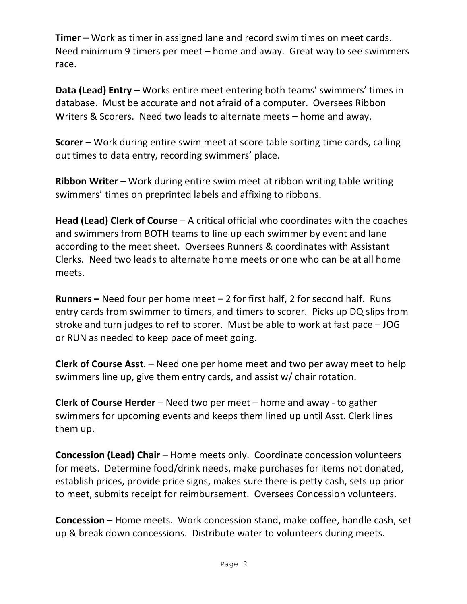**Timer** – Work as timer in assigned lane and record swim times on meet cards. Need minimum 9 timers per meet – home and away. Great way to see swimmers race.

**Data (Lead) Entry** – Works entire meet entering both teams' swimmers' times in database. Must be accurate and not afraid of a computer. Oversees Ribbon Writers & Scorers. Need two leads to alternate meets – home and away.

**Scorer** – Work during entire swim meet at score table sorting time cards, calling out times to data entry, recording swimmers' place.

**Ribbon Writer** – Work during entire swim meet at ribbon writing table writing swimmers' times on preprinted labels and affixing to ribbons.

**Head (Lead) Clerk of Course** – A critical official who coordinates with the coaches and swimmers from BOTH teams to line up each swimmer by event and lane according to the meet sheet. Oversees Runners & coordinates with Assistant Clerks. Need two leads to alternate home meets or one who can be at all home meets.

**Runners –** Need four per home meet – 2 for first half, 2 for second half. Runs entry cards from swimmer to timers, and timers to scorer. Picks up DQ slips from stroke and turn judges to ref to scorer. Must be able to work at fast pace – JOG or RUN as needed to keep pace of meet going.

**Clerk of Course Asst**. – Need one per home meet and two per away meet to help swimmers line up, give them entry cards, and assist w/ chair rotation.

**Clerk of Course Herder** – Need two per meet – home and away - to gather swimmers for upcoming events and keeps them lined up until Asst. Clerk lines them up.

**Concession (Lead) Chair** – Home meets only. Coordinate concession volunteers for meets. Determine food/drink needs, make purchases for items not donated, establish prices, provide price signs, makes sure there is petty cash, sets up prior to meet, submits receipt for reimbursement. Oversees Concession volunteers.

**Concession** – Home meets.Work concession stand, make coffee, handle cash, set up & break down concessions. Distribute water to volunteers during meets.